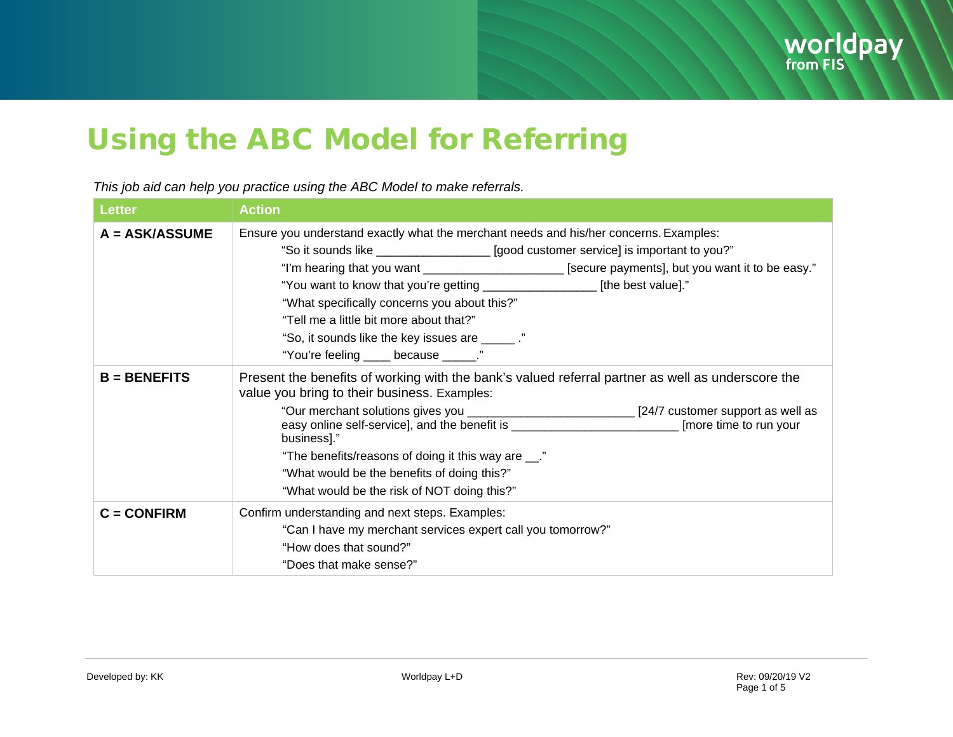## Using the ABC Model for Referring

*This job aid can help you practice using the ABC Model to make referrals.*

| <b>Letter</b>    | <b>Action</b>                                                                                                                                                                                                                                                                                                                                                                                                                                                                                                                                                     |  |
|------------------|-------------------------------------------------------------------------------------------------------------------------------------------------------------------------------------------------------------------------------------------------------------------------------------------------------------------------------------------------------------------------------------------------------------------------------------------------------------------------------------------------------------------------------------------------------------------|--|
| $A = ASK/ASSUME$ | Ensure you understand exactly what the merchant needs and his/her concerns. Examples:<br>"So it sounds like _____________________ [good customer service] is important to you?"<br>"I'm hearing that you want _________________________ [secure payments], but you want it to be easy."<br>"You want to know that you're getting _______________________[the best value]."<br>"What specifically concerns you about this?"<br>"Tell me a little bit more about that?"<br>"So, it sounds like the key issues are ______."<br>"You're feeling ____ because ______." |  |
| $B = BENEFITS$   | Present the benefits of working with the bank's valued referral partner as well as underscore the<br>value you bring to their business. Examples:<br>"Our merchant solutions gives you __________________________________ [24/7 customer support as well as<br>easy online self-service], and the benefit is _____________________________ [more time to run your<br>business]."<br>"The benefits/reasons of doing it this way are __."<br>"What would be the benefits of doing this?"<br>"What would be the risk of NOT doing this?"                             |  |
| $C = CONFIRM$    | Confirm understanding and next steps. Examples:<br>"Can I have my merchant services expert call you tomorrow?"<br>"How does that sound?"<br>"Does that make sense?"                                                                                                                                                                                                                                                                                                                                                                                               |  |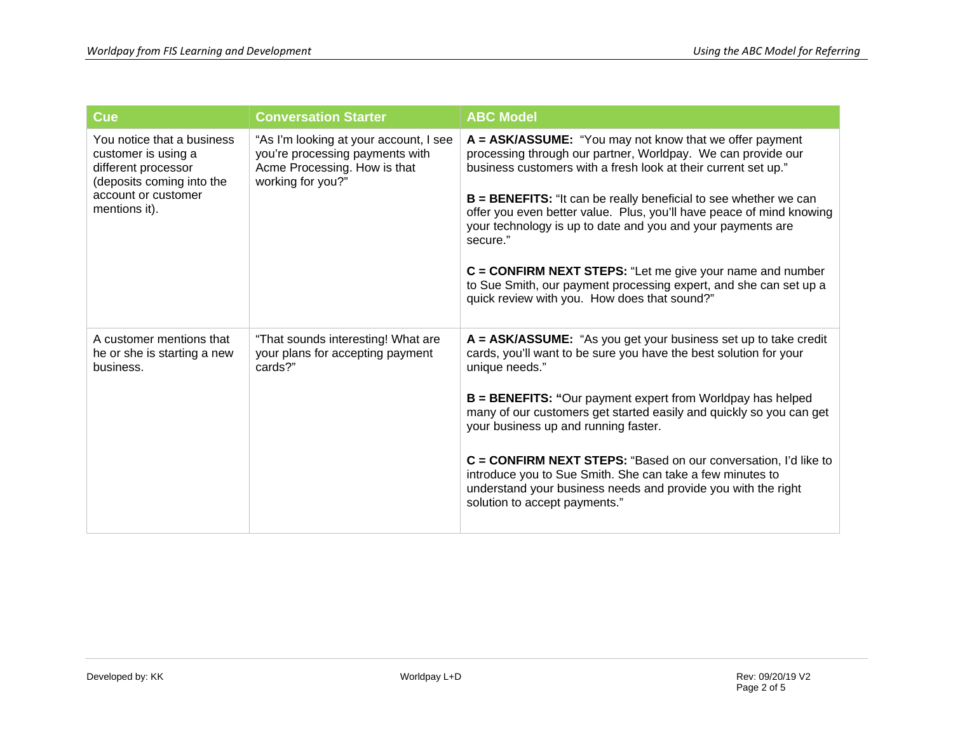| Cue                                                                                                                                           | <b>Conversation Starter</b>                                                                                                    | <b>ABC Model</b>                                                                                                                                                                                                                                                                                                                                                                                                                                                                       |
|-----------------------------------------------------------------------------------------------------------------------------------------------|--------------------------------------------------------------------------------------------------------------------------------|----------------------------------------------------------------------------------------------------------------------------------------------------------------------------------------------------------------------------------------------------------------------------------------------------------------------------------------------------------------------------------------------------------------------------------------------------------------------------------------|
| You notice that a business<br>customer is using a<br>different processor<br>(deposits coming into the<br>account or customer<br>mentions it). | "As I'm looking at your account, I see<br>you're processing payments with<br>Acme Processing. How is that<br>working for you?" | $A = ASK/ASSUME:$ "You may not know that we offer payment<br>processing through our partner, Worldpay. We can provide our<br>business customers with a fresh look at their current set up."<br><b>B = BENEFITS:</b> "It can be really beneficial to see whether we can<br>offer you even better value. Plus, you'll have peace of mind knowing<br>your technology is up to date and you and your payments are<br>secure."<br>C = CONFIRM NEXT STEPS: "Let me give your name and number |
|                                                                                                                                               |                                                                                                                                | to Sue Smith, our payment processing expert, and she can set up a<br>quick review with you. How does that sound?"                                                                                                                                                                                                                                                                                                                                                                      |
| A customer mentions that<br>he or she is starting a new<br>business.                                                                          | "That sounds interesting! What are<br>your plans for accepting payment<br>cards?"                                              | A = ASK/ASSUME: "As you get your business set up to take credit<br>cards, you'll want to be sure you have the best solution for your<br>unique needs."                                                                                                                                                                                                                                                                                                                                 |
|                                                                                                                                               |                                                                                                                                | <b>B</b> = <b>BENEFITS:</b> "Our payment expert from Worldpay has helped<br>many of our customers get started easily and quickly so you can get<br>your business up and running faster.                                                                                                                                                                                                                                                                                                |
|                                                                                                                                               |                                                                                                                                | C = CONFIRM NEXT STEPS: "Based on our conversation, I'd like to<br>introduce you to Sue Smith. She can take a few minutes to<br>understand your business needs and provide you with the right<br>solution to accept payments."                                                                                                                                                                                                                                                         |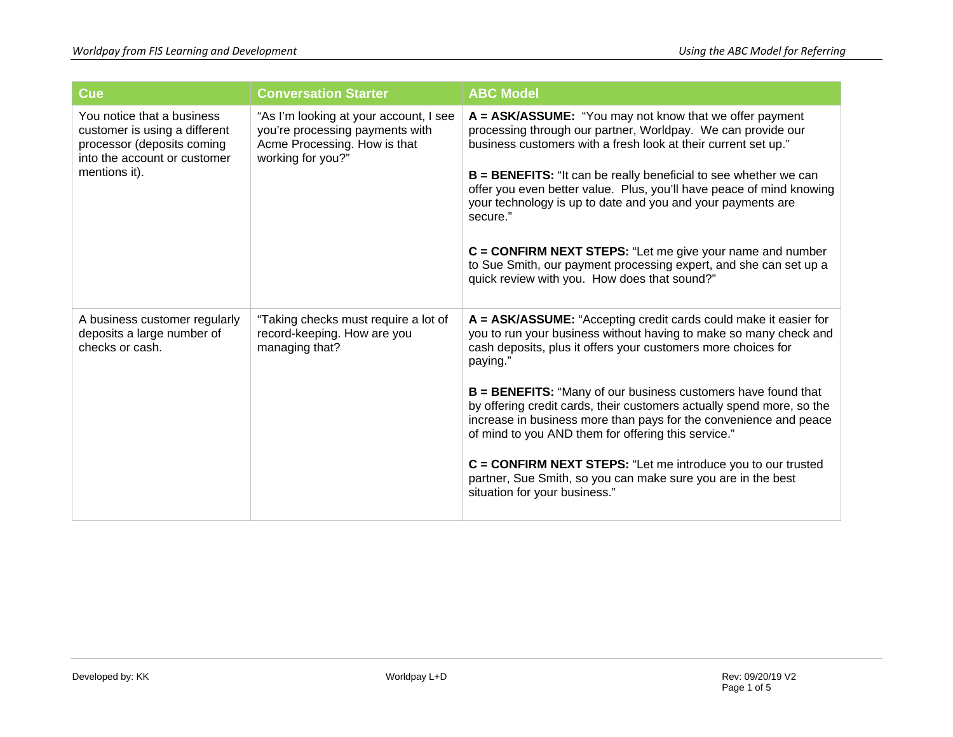| Cue                                                                                                                                        | <b>Conversation Starter</b>                                                                                                    | <b>ABC Model</b>                                                                                                                                                                                                                                                                                                                                                                                                                                                                                                                                                                                                                                                 |
|--------------------------------------------------------------------------------------------------------------------------------------------|--------------------------------------------------------------------------------------------------------------------------------|------------------------------------------------------------------------------------------------------------------------------------------------------------------------------------------------------------------------------------------------------------------------------------------------------------------------------------------------------------------------------------------------------------------------------------------------------------------------------------------------------------------------------------------------------------------------------------------------------------------------------------------------------------------|
| You notice that a business<br>customer is using a different<br>processor (deposits coming<br>into the account or customer<br>mentions it). | "As I'm looking at your account, I see<br>you're processing payments with<br>Acme Processing. How is that<br>working for you?" | A = ASK/ASSUME: "You may not know that we offer payment<br>processing through our partner, Worldpay. We can provide our<br>business customers with a fresh look at their current set up."<br>$B = BENEFITS:$ "It can be really beneficial to see whether we can<br>offer you even better value. Plus, you'll have peace of mind knowing<br>your technology is up to date and you and your payments are<br>secure."<br>$C = \text{CONFIRM NEXT STEPS: }$ "Let me give your name and number<br>to Sue Smith, our payment processing expert, and she can set up a<br>quick review with you. How does that sound?"                                                   |
| A business customer regularly<br>deposits a large number of<br>checks or cash.                                                             | "Taking checks must require a lot of<br>record-keeping. How are you<br>managing that?                                          | A = ASK/ASSUME: "Accepting credit cards could make it easier for<br>you to run your business without having to make so many check and<br>cash deposits, plus it offers your customers more choices for<br>paying."<br><b>B = BENEFITS:</b> "Many of our business customers have found that<br>by offering credit cards, their customers actually spend more, so the<br>increase in business more than pays for the convenience and peace<br>of mind to you AND them for offering this service."<br>C = CONFIRM NEXT STEPS: "Let me introduce you to our trusted<br>partner, Sue Smith, so you can make sure you are in the best<br>situation for your business." |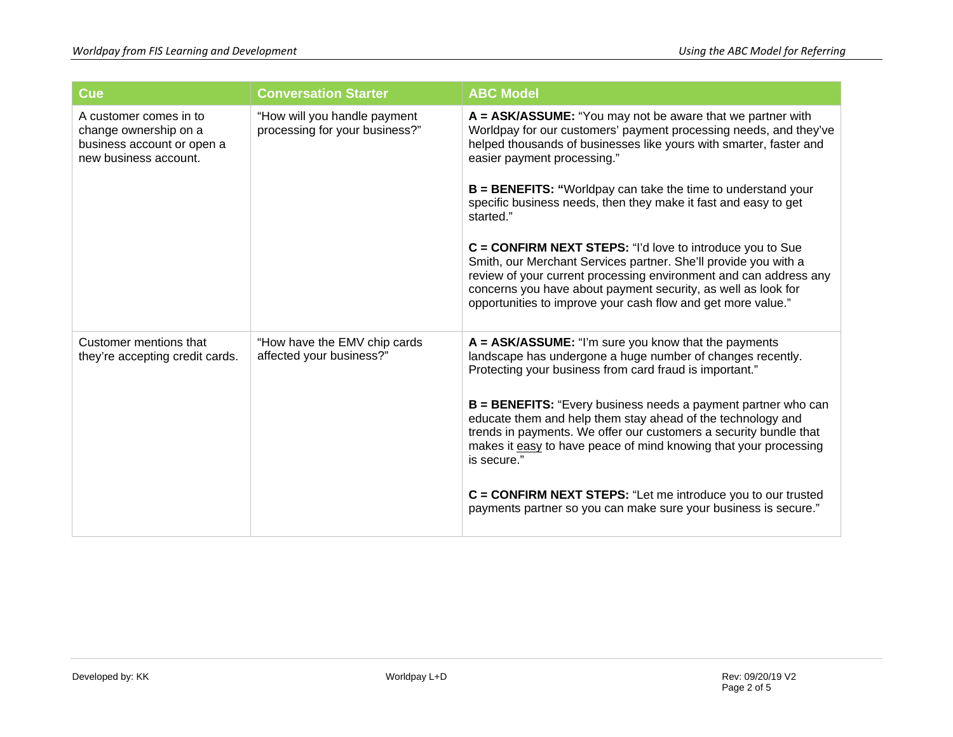| <b>Cue</b>                                                                                             | <b>Conversation Starter</b>                                    | <b>ABC Model</b>                                                                                                                                                                                                                                                                                                                            |
|--------------------------------------------------------------------------------------------------------|----------------------------------------------------------------|---------------------------------------------------------------------------------------------------------------------------------------------------------------------------------------------------------------------------------------------------------------------------------------------------------------------------------------------|
| A customer comes in to<br>change ownership on a<br>business account or open a<br>new business account. | "How will you handle payment<br>processing for your business?" | $A = ASK/ASSUME: "You may not be aware that we partner with$<br>Worldpay for our customers' payment processing needs, and they've<br>helped thousands of businesses like yours with smarter, faster and<br>easier payment processing."                                                                                                      |
|                                                                                                        |                                                                | $B = BENERITS:$ "Worldpay can take the time to understand your<br>specific business needs, then they make it fast and easy to get<br>started."                                                                                                                                                                                              |
|                                                                                                        |                                                                | $C = \text{CONFIRM NEXT STEPS: "I'd love to introduce you to Sue}$<br>Smith, our Merchant Services partner. She'll provide you with a<br>review of your current processing environment and can address any<br>concerns you have about payment security, as well as look for<br>opportunities to improve your cash flow and get more value." |
| Customer mentions that<br>they're accepting credit cards.                                              | "How have the EMV chip cards<br>affected your business?"       | $A = ASK/ASSUME: "I'm sure you know that the payments$<br>landscape has undergone a huge number of changes recently.<br>Protecting your business from card fraud is important."                                                                                                                                                             |
|                                                                                                        |                                                                | <b>B = BENEFITS:</b> "Every business needs a payment partner who can<br>educate them and help them stay ahead of the technology and<br>trends in payments. We offer our customers a security bundle that<br>makes it easy to have peace of mind knowing that your processing<br>is secure."                                                 |
|                                                                                                        |                                                                | C = CONFIRM NEXT STEPS: "Let me introduce you to our trusted<br>payments partner so you can make sure your business is secure."                                                                                                                                                                                                             |